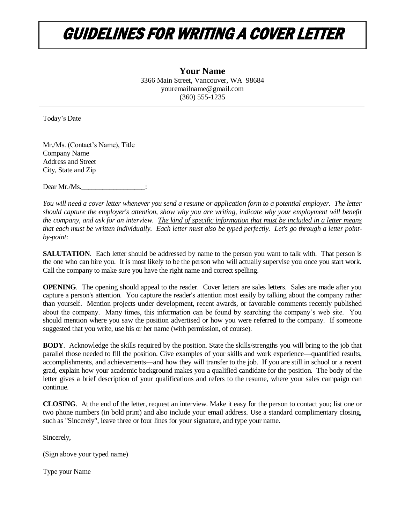## GUIDELINES FOR WRITING A COVER LETTER

**Your Name** 3366 Main Street, Vancouver, WA 98684 youremailname@gmail.com (360) 555-1235

Today's Date

Mr./Ms. (Contact's Name), Title Company Name Address and Street City, State and Zip

Dear Mr./Ms.

*You will need a cover letter whenever you send a resume or application form to a potential employer. The letter should capture the employer's attention, show why you are writing, indicate why your employment will benefit the company, and ask for an interview. The kind of specific information that must be included in a letter means that each must be written individually. Each letter must also be typed perfectly. Let's go through a letter pointby-point:*

**SALUTATION**. Each letter should be addressed by name to the person you want to talk with. That person is the one who can hire you. It is most likely to be the person who will actually supervise you once you start work. Call the company to make sure you have the right name and correct spelling.

**OPENING**. The opening should appeal to the reader. Cover letters are sales letters. Sales are made after you capture a person's attention. You capture the reader's attention most easily by talking about the company rather than yourself. Mention projects under development, recent awards, or favorable comments recently published about the company. Many times, this information can be found by searching the company's web site. You should mention where you saw the position advertised or how you were referred to the company. If someone suggested that you write, use his or her name (with permission, of course).

**BODY**. Acknowledge the skills required by the position. State the skills/strengths you will bring to the job that parallel those needed to fill the position. Give examples of your skills and work experience—quantified results, accomplishments, and achievements—and how they will transfer to the job. If you are still in school or a recent grad, explain how your academic background makes you a qualified candidate for the position. The body of the letter gives a brief description of your qualifications and refers to the resume, where your sales campaign can continue.

**CLOSING**. At the end of the letter, request an interview. Make it easy for the person to contact you; list one or two phone numbers (in bold print) and also include your email address. Use a standard complimentary closing, such as "Sincerely", leave three or four lines for your signature, and type your name.

Sincerely,

(Sign above your typed name)

Type your Name